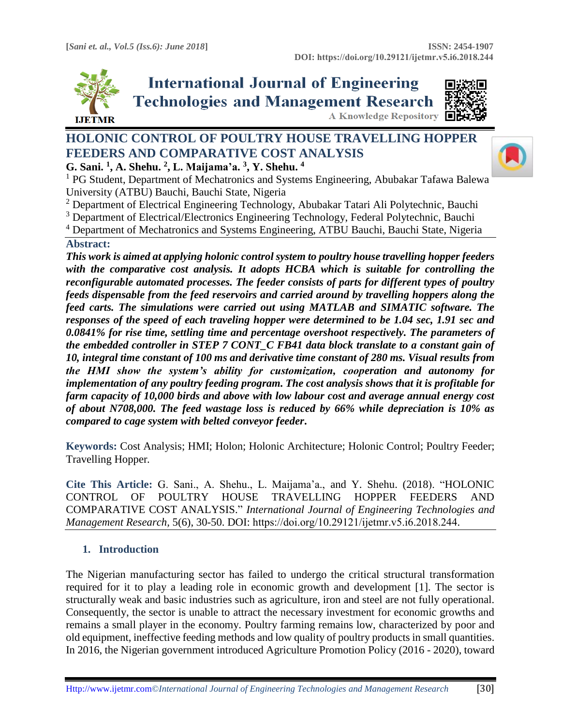

**International Journal of Engineering Technologies and Management Research A Knowledge Repository** 



# **HOLONIC CONTROL OF POULTRY HOUSE TRAVELLING HOPPER FEEDERS AND COMPARATIVE COST ANALYSIS**

**G. Sani. <sup>1</sup> , A. Shehu. <sup>2</sup> , L. Maijama'a. 3 , Y. Shehu. <sup>4</sup>**

<sup>1</sup> PG Student, Department of Mechatronics and Systems Engineering, Abubakar Tafawa Balewa University (ATBU) Bauchi, Bauchi State, Nigeria

<sup>2</sup> Department of Electrical Engineering Technology, Abubakar Tatari Ali Polytechnic, Bauchi

<sup>3</sup> Department of Electrical/Electronics Engineering Technology, Federal Polytechnic, Bauchi

<sup>4</sup> Department of Mechatronics and Systems Engineering, ATBU Bauchi, Bauchi State, Nigeria

### **Abstract:**

*This work is aimed at applying holonic control system to poultry house travelling hopper feeders with the comparative cost analysis. It adopts HCBA which is suitable for controlling the reconfigurable automated processes. The feeder consists of parts for different types of poultry feeds dispensable from the feed reservoirs and carried around by travelling hoppers along the feed carts. The simulations were carried out using MATLAB and SIMATIC software. The responses of the speed of each traveling hopper were determined to be 1.04 sec, 1.91 sec and 0.0841% for rise time, settling time and percentage overshoot respectively. The parameters of the embedded controller in STEP 7 CONT\_C FB41 data block translate to a constant gain of 10, integral time constant of 100 ms and derivative time constant of 280 ms. Visual results from the HMI show the system's ability for customization, cooperation and autonomy for implementation of any poultry feeding program. The cost analysis shows that it is profitable for farm capacity of 10,000 birds and above with low labour cost and average annual energy cost of about N708,000. The feed wastage loss is reduced by 66% while depreciation is 10% as compared to cage system with belted conveyor feeder***.**

**Keywords:** Cost Analysis; HMI; Holon; Holonic Architecture; Holonic Control; Poultry Feeder; Travelling Hopper*.* 

**Cite This Article:** G. Sani., A. Shehu., L. Maijama'a., and Y. Shehu. (2018). "HOLONIC CONTROL OF POULTRY HOUSE TRAVELLING HOPPER FEEDERS AND COMPARATIVE COST ANALYSIS." *International Journal of Engineering Technologies and Management Research,* 5(6), 30-50. DOI: https://doi.org/10.29121/ijetmr.v5.i6.2018.244.

# **1. Introduction**

The Nigerian manufacturing sector has failed to undergo the critical structural transformation required for it to play a leading role in economic growth and development [1]. The sector is structurally weak and basic industries such as agriculture, iron and steel are not fully operational. Consequently, the sector is unable to attract the necessary investment for economic growths and remains a small player in the economy. Poultry farming remains low, characterized by poor and old equipment, ineffective feeding methods and low quality of poultry products in small quantities. In 2016, the Nigerian government introduced Agriculture Promotion Policy (2016 - 2020), toward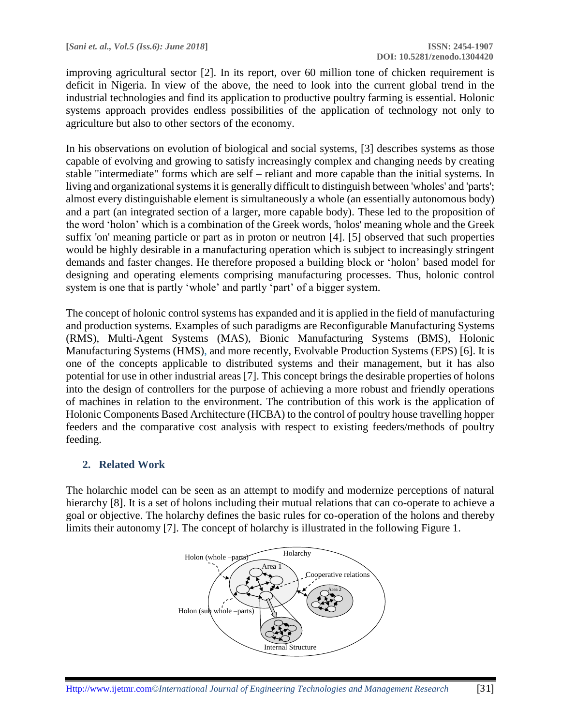improving agricultural sector [2]. In its report, over 60 million tone of chicken requirement is deficit in Nigeria. In view of the above, the need to look into the current global trend in the industrial technologies and find its application to productive poultry farming is essential. Holonic systems approach provides endless possibilities of the application of technology not only to agriculture but also to other sectors of the economy.

In his observations on evolution of biological and social systems, [3] describes systems as those capable of evolving and growing to satisfy increasingly complex and changing needs by creating stable "intermediate" forms which are self – reliant and more capable than the initial systems. In living and organizational systems it is generally difficult to distinguish between 'wholes' and 'parts'; almost every distinguishable element is simultaneously a whole (an essentially autonomous body) and a part (an integrated section of a larger, more capable body). These led to the proposition of the word 'holon' which is a combination of the Greek words, 'holos' meaning whole and the Greek suffix 'on' meaning particle or part as in proton or neutron [4]. [5] observed that such properties would be highly desirable in a manufacturing operation which is subject to increasingly stringent demands and faster changes. He therefore proposed a building block or 'holon' based model for designing and operating elements comprising manufacturing processes. Thus, holonic control system is one that is partly 'whole' and partly 'part' of a bigger system.

The concept of holonic control systems has expanded and it is applied in the field of manufacturing and production systems. Examples of such paradigms are Reconfigurable Manufacturing Systems (RMS), Multi-Agent Systems (MAS), Bionic Manufacturing Systems (BMS), Holonic Manufacturing Systems (HMS), and more recently, Evolvable Production Systems (EPS) [6]. It is one of the concepts applicable to distributed systems and their management, but it has also potential for use in other industrial areas [7]. This concept brings the desirable properties of holons into the design of controllers for the purpose of achieving a more robust and friendly operations of machines in relation to the environment. The contribution of this work is the application of Holonic Components Based Architecture (HCBA) to the control of poultry house travelling hopper feeders and the comparative cost analysis with respect to existing feeders/methods of poultry feeding.

# **2. Related Work**

The holarchic model can be seen as an attempt to modify and modernize perceptions of natural hierarchy [8]. It is a set of holons including their mutual relations that can co-operate to achieve a goal or objective. The holarchy defines the basic rules for co-operation of the holons and thereby limits their autonomy [7]. The concept of holarchy is illustrated in the following Figure 1.

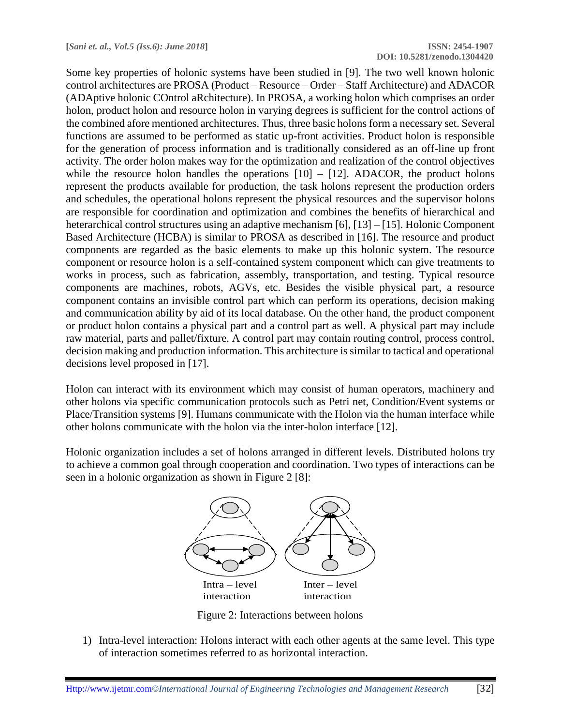Some key properties of holonic systems have been studied in [9]. The two well known holonic control architectures are PROSA (Product – Resource – Order – Staff Architecture) and ADACOR (ADAptive holonic COntrol aRchitecture). In PROSA, a working holon which comprises an order holon, product holon and resource holon in varying degrees is sufficient for the control actions of the combined afore mentioned architectures. Thus, three basic holons form a necessary set. Several functions are assumed to be performed as static up-front activities. Product holon is responsible for the generation of process information and is traditionally considered as an off-line up front activity. The order holon makes way for the optimization and realization of the control objectives while the resource holon handles the operations  $[10] - [12]$ . ADACOR, the product holons represent the products available for production, the task holons represent the production orders and schedules, the operational holons represent the physical resources and the supervisor holons are responsible for coordination and optimization and combines the benefits of hierarchical and heterarchical control structures using an adaptive mechanism [6], [13] – [15]. Holonic Component Based Architecture (HCBA) is similar to PROSA as described in [16]. The resource and product components are regarded as the basic elements to make up this holonic system. The resource component or resource holon is a self-contained system component which can give treatments to works in process, such as fabrication, assembly, transportation, and testing. Typical resource components are machines, robots, AGVs, etc. Besides the visible physical part, a resource component contains an invisible control part which can perform its operations, decision making and communication ability by aid of its local database. On the other hand, the product component or product holon contains a physical part and a control part as well. A physical part may include raw material, parts and pallet/fixture. A control part may contain routing control, process control, decision making and production information. This architecture is similar to tactical and operational decisions level proposed in [17].

Holon can interact with its environment which may consist of human operators, machinery and other holons via specific communication protocols such as Petri net, Condition/Event systems or Place/Transition systems [9]. Humans communicate with the Holon via the human interface while other holons communicate with the holon via the inter-holon interface [12].

Holonic organization includes a set of holons arranged in different levels. Distributed holons try to achieve a common goal through cooperation and coordination. Two types of interactions can be seen in a holonic organization as shown in Figure 2 [8]:



Figure 2: Interactions between holons

1) Intra-level interaction: Holons interact with each other agents at the same level. This type of interaction sometimes referred to as horizontal interaction.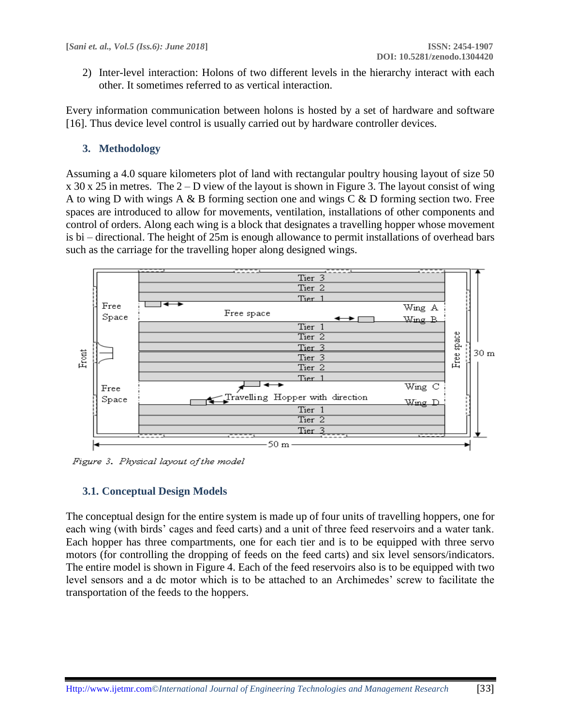2) Inter-level interaction: Holons of two different levels in the hierarchy interact with each other. It sometimes referred to as vertical interaction.

Every information communication between holons is hosted by a set of hardware and software [16]. Thus device level control is usually carried out by hardware controller devices.

# **3. Methodology**

Assuming a 4.0 square kilometers plot of land with rectangular poultry housing layout of size 50 x 30 x 25 in metres. The 2 – D view of the layout is shown in Figure 3. The layout consist of wing A to wing D with wings A & B forming section one and wings C & D forming section two. Free spaces are introduced to allow for movements, ventilation, installations of other components and control of orders. Along each wing is a block that designates a travelling hopper whose movement is bi – directional. The height of 25m is enough allowance to permit installations of overhead bars such as the carriage for the travelling hoper along designed wings.



Figure 3. Physical layout of the model

# **3.1. Conceptual Design Models**

The conceptual design for the entire system is made up of four units of travelling hoppers, one for each wing (with birds' cages and feed carts) and a unit of three feed reservoirs and a water tank. Each hopper has three compartments, one for each tier and is to be equipped with three servo motors (for controlling the dropping of feeds on the feed carts) and six level sensors/indicators. The entire model is shown in Figure 4. Each of the feed reservoirs also is to be equipped with two level sensors and a dc motor which is to be attached to an Archimedes' screw to facilitate the transportation of the feeds to the hoppers.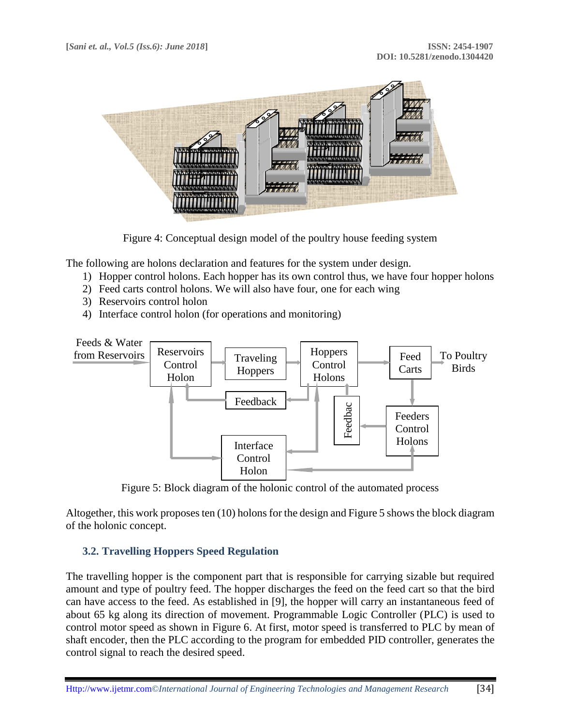

Figure 4: Conceptual design model of the poultry house feeding system

The following are holons declaration and features for the system under design.

- 1) Hopper control holons. Each hopper has its own control thus, we have four hopper holons
- 2) Feed carts control holons. We will also have four, one for each wing
- 3) Reservoirs control holon
- 4) Interface control holon (for operations and monitoring)



Figure 5: Block diagram of the holonic control of the automated process

Altogether, this work proposes ten (10) holons for the design and Figure 5 shows the block diagram of the holonic concept.

#### **3.2. Travelling Hoppers Speed Regulation**

The travelling hopper is the component part that is responsible for carrying sizable but required amount and type of poultry feed. The hopper discharges the feed on the feed cart so that the bird can have access to the feed. As established in [9], the hopper will carry an instantaneous feed of about 65 kg along its direction of movement. Programmable Logic Controller (PLC) is used to control motor speed as shown in Figure 6. At first, motor speed is transferred to PLC by mean of shaft encoder, then the PLC according to the program for embedded PID controller, generates the control signal to reach the desired speed.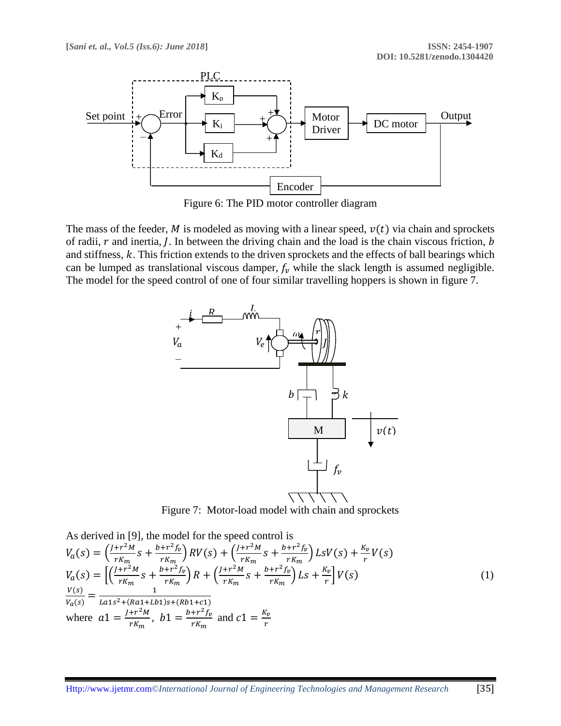

Figure 6: The PID motor controller diagram

The mass of the feeder, M is modeled as moving with a linear speed,  $v(t)$  via chain and sprockets of radii,  $r$  and inertia,  $\hat{I}$ . In between the driving chain and the load is the chain viscous friction,  $\hat{b}$ and stiffness,  $k$ . This friction extends to the driven sprockets and the effects of ball bearings which can be lumped as translational viscous damper,  $f_\nu$  while the slack length is assumed negligible. The model for the speed control of one of four similar travelling hoppers is shown in figure 7.



Figure 7: Motor-load model with chain and sprockets

As derived in [9], the model for the speed control is

$$
V_a(s) = \left(\frac{J + r^2 M}{r K_m} s + \frac{b + r^2 f_v}{r K_m}\right) RV(s) + \left(\frac{J + r^2 M}{r K_m} s + \frac{b + r^2 f_v}{r K_m}\right) L s V(s) + \frac{K_v}{r} V(s)
$$
  
\n
$$
V_a(s) = \left[\left(\frac{J + r^2 M}{r K_m} s + \frac{b + r^2 f_v}{r K_m}\right) R + \left(\frac{J + r^2 M}{r K_m} s + \frac{b + r^2 f_v}{r K_m}\right) L s + \frac{K_v}{r}\right] V(s)
$$
  
\n
$$
\frac{V(s)}{V_a(s)} = \frac{1}{L a 1 s^2 + (R a 1 + L b 1) s + (R b 1 + c 1)}
$$
  
\nwhere  $a 1 = \frac{J + r^2 M}{r K_m}$ ,  $b 1 = \frac{b + r^2 f_v}{r K_m}$  and  $c 1 = \frac{K_v}{r}$  (1)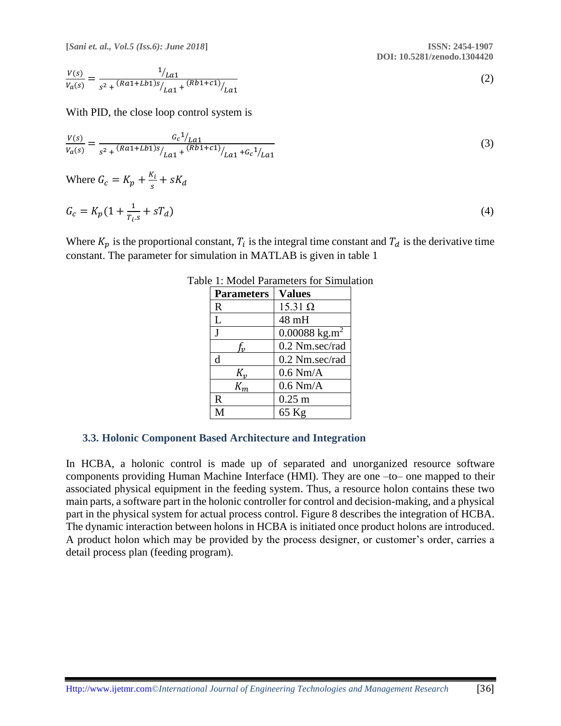**[***Sani et. al., Vol.5 (Iss.6): June 2018***] ISSN: 2454-1907**

 **DOI: 10.5281/zenodo.1304420**

$$
\frac{V(s)}{V_a(s)} = \frac{1/2a1}{s^2 + (Ra1 + Lb1)s/2a1} + (Rb1 + c1)/2a1}
$$
(2)

With PID, the close loop control system is

$$
\frac{V(s)}{V_a(s)} = \frac{G_c^1/_{La1}}{s^2 + (Ra^1 + Lb^1)s/_{La1} + (Rb^1 + c^1)/_{La1} + G_c^1/_{La1}}\tag{3}
$$

Where 
$$
G_c = K_p + \frac{K_i}{s} + sK_d
$$

$$
G_c = K_p (1 + \frac{1}{T_i s} + sT_d)
$$
\n(4)

Where  $K_p$  is the proportional constant,  $T_i$  is the integral time constant and  $T_d$  is the derivative time constant. The parameter for simulation in MATLAB is given in table 1

| <b>Parameters</b> | <b>Values</b>               |
|-------------------|-----------------------------|
| $\mathbf R$       | $15.31 \Omega$              |
| L                 | 48 mH                       |
| J                 | $0.00088$ kg.m <sup>2</sup> |
| f,,               | 0.2 Nm.sec/rad              |
| d                 | 0.2 Nm.sec/rad              |
| $K_{\nu}$         | $0.6$ Nm/A                  |
| $K_m$             | $0.6$ Nm/A                  |
| $\mathbb{R}$      | $0.25$ m                    |
| M                 | 65 Kg                       |

Table 1: Model Parameters for Simulation

#### **3.3. Holonic Component Based Architecture and Integration**

In HCBA, a holonic control is made up of separated and unorganized resource software components providing Human Machine Interface (HMI). They are one –to– one mapped to their associated physical equipment in the feeding system. Thus, a resource holon contains these two main parts, a software part in the holonic controller for control and decision-making, and a physical part in the physical system for actual process control. Figure 8 describes the integration of HCBA. The dynamic interaction between holons in HCBA is initiated once product holons are introduced. A product holon which may be provided by the process designer, or customer's order, carries a detail process plan (feeding program).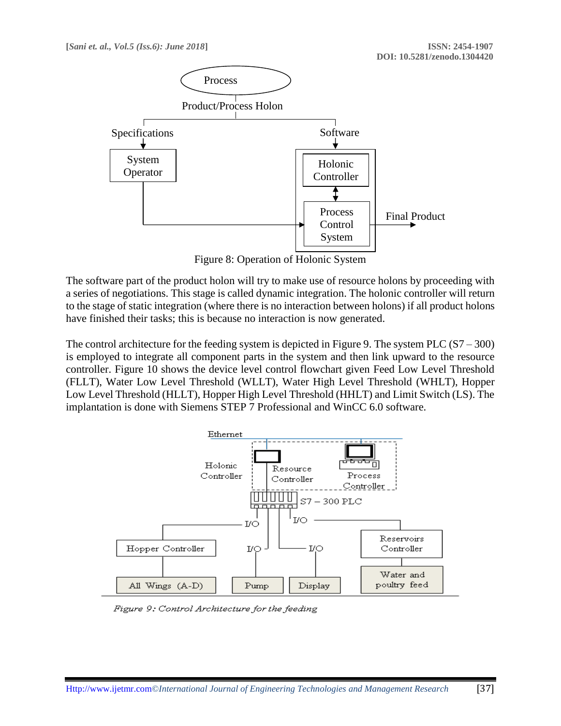

Figure 8: Operation of Holonic System

The software part of the product holon will try to make use of resource holons by proceeding with a series of negotiations. This stage is called dynamic integration. The holonic controller will return to the stage of static integration (where there is no interaction between holons) if all product holons have finished their tasks; this is because no interaction is now generated.

The control architecture for the feeding system is depicted in Figure 9. The system PLC  $(S7 - 300)$ is employed to integrate all component parts in the system and then link upward to the resource controller. Figure 10 shows the device level control flowchart given Feed Low Level Threshold (FLLT), Water Low Level Threshold (WLLT), Water High Level Threshold (WHLT), Hopper Low Level Threshold (HLLT), Hopper High Level Threshold (HHLT) and Limit Switch (LS). The implantation is done with Siemens STEP 7 Professional and WinCC 6.0 software.



Figure 9: Control Architecture for the feeding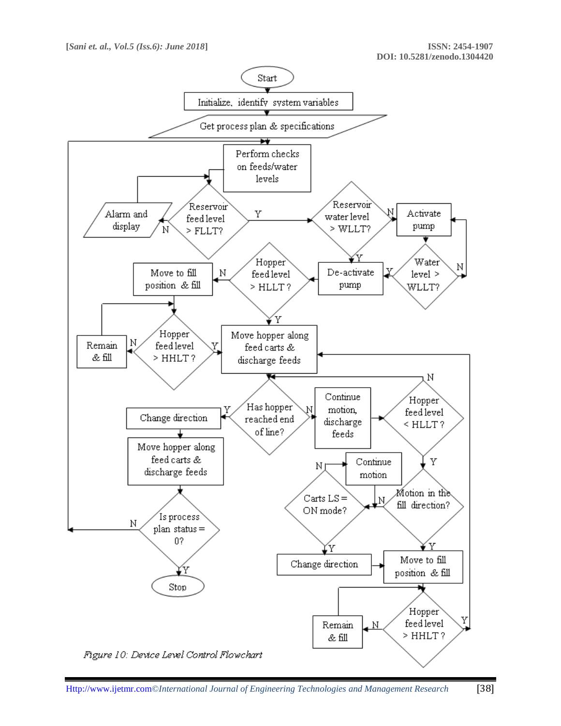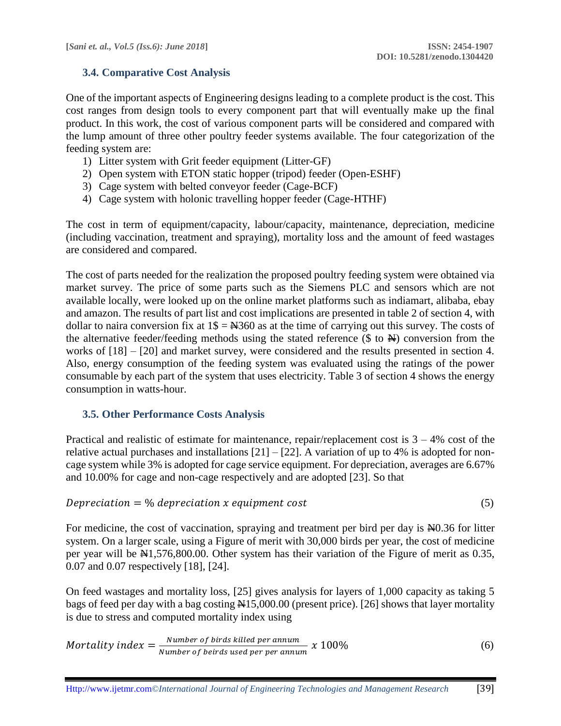# **3.4. Comparative Cost Analysis**

One of the important aspects of Engineering designs leading to a complete product is the cost. This cost ranges from design tools to every component part that will eventually make up the final product. In this work, the cost of various component parts will be considered and compared with the lump amount of three other poultry feeder systems available. The four categorization of the feeding system are:

- 1) Litter system with Grit feeder equipment (Litter-GF)
- 2) Open system with ETON static hopper (tripod) feeder (Open-ESHF)
- 3) Cage system with belted conveyor feeder (Cage-BCF)
- 4) Cage system with holonic travelling hopper feeder (Cage-HTHF)

The cost in term of equipment/capacity, labour/capacity, maintenance, depreciation, medicine (including vaccination, treatment and spraying), mortality loss and the amount of feed wastages are considered and compared.

The cost of parts needed for the realization the proposed poultry feeding system were obtained via market survey. The price of some parts such as the Siemens PLC and sensors which are not available locally, were looked up on the online market platforms such as indiamart, alibaba, ebay and amazon. The results of part list and cost implications are presented in table 2 of section 4, with dollar to naira conversion fix at  $1\frac{1}{5} = \frac{1360}{10}$  as at the time of carrying out this survey. The costs of the alternative feeder/feeding methods using the stated reference  $(\text{\$ to } \text{\AA})$  conversion from the works of [18] – [20] and market survey, were considered and the results presented in section 4. Also, energy consumption of the feeding system was evaluated using the ratings of the power consumable by each part of the system that uses electricity. Table 3 of section 4 shows the energy consumption in watts-hour.

# **3.5. Other Performance Costs Analysis**

Practical and realistic of estimate for maintenance, repair/replacement cost is  $3 - 4\%$  cost of the relative actual purchases and installations  $[21] - [22]$ . A variation of up to 4% is adopted for noncage system while 3% is adopted for cage service equipment. For depreciation, averages are 6.67% and 10.00% for cage and non-cage respectively and are adopted [23]. So that

$$
Depreciation = % depreciation x equipment cost \tag{5}
$$

For medicine, the cost of vaccination, spraying and treatment per bird per day is N0.36 for litter system. On a larger scale, using a Figure of merit with 30,000 birds per year, the cost of medicine per year will be  $\text{N1},576,800.00$ . Other system has their variation of the Figure of merit as 0.35, 0.07 and 0.07 respectively [18], [24].

On feed wastages and mortality loss, [25] gives analysis for layers of 1,000 capacity as taking 5 bags of feed per day with a bag costing  $\frac{1}{25,000.00}$  (present price). [26] shows that layer mortality is due to stress and computed mortality index using

*Mortality index* = 
$$
\frac{Number\ of\ birds\ killed\ per\ annum}{Number\ of\ beings\ used\ per\ per\ annum} \times 100\%
$$
 (6)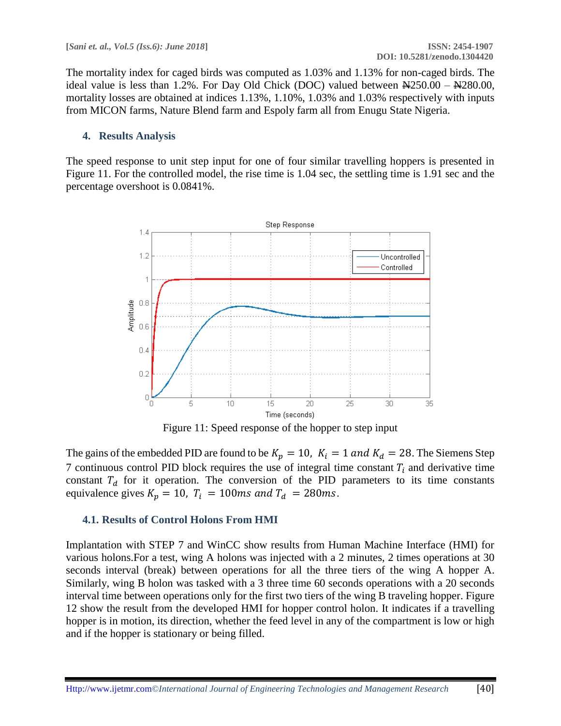The mortality index for caged birds was computed as 1.03% and 1.13% for non-caged birds. The ideal value is less than 1.2%. For Day Old Chick (DOC) valued between  $\frac{1250.00}{1280.00}$ , mortality losses are obtained at indices 1.13%, 1.10%, 1.03% and 1.03% respectively with inputs from MICON farms, Nature Blend farm and Espoly farm all from Enugu State Nigeria.

### **4. Results Analysis**

The speed response to unit step input for one of four similar travelling hoppers is presented in Figure 11. For the controlled model, the rise time is 1.04 sec, the settling time is 1.91 sec and the percentage overshoot is 0.0841%.



Figure 11: Speed response of the hopper to step input

The gains of the embedded PID are found to be  $K_p = 10$ ,  $K_i = 1$  and  $K_d = 28$ . The Siemens Step 7 continuous control PID block requires the use of integral time constant  $T_i$  and derivative time constant  $T_d$  for it operation. The conversion of the PID parameters to its time constants equivalence gives  $K_p = 10$ ,  $T_i = 100$ ms and  $T_d = 280$ ms.

#### **4.1. Results of Control Holons From HMI**

Implantation with STEP 7 and WinCC show results from Human Machine Interface (HMI) for various holons.For a test, wing A holons was injected with a 2 minutes, 2 times operations at 30 seconds interval (break) between operations for all the three tiers of the wing A hopper A. Similarly, wing B holon was tasked with a 3 three time 60 seconds operations with a 20 seconds interval time between operations only for the first two tiers of the wing B traveling hopper. Figure 12 show the result from the developed HMI for hopper control holon. It indicates if a travelling hopper is in motion, its direction, whether the feed level in any of the compartment is low or high and if the hopper is stationary or being filled.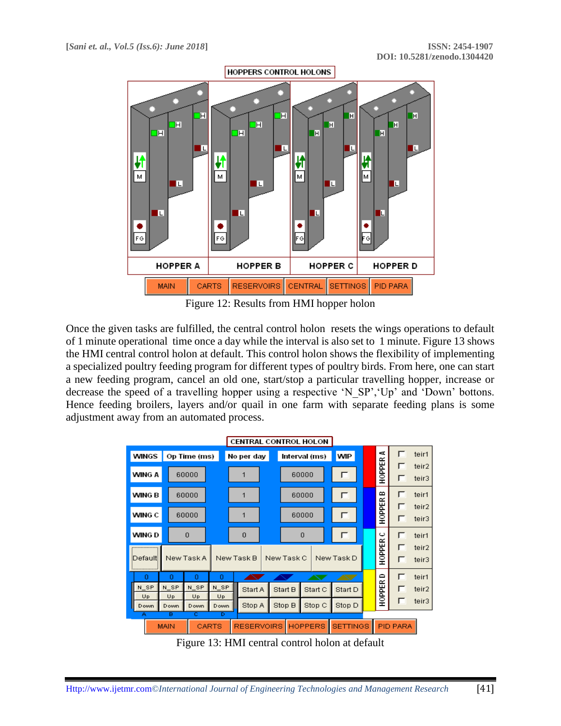

Figure 12: Results from HMI hopper holon

Once the given tasks are fulfilled, the central control holon resets the wings operations to default of 1 minute operational time once a day while the interval is also set to 1 minute. Figure 13 shows the HMI central control holon at default. This control holon shows the flexibility of implementing a specialized poultry feeding program for different types of poultry birds. From here, one can start a new feeding program, cancel an old one, start/stop a particular travelling hopper, increase or decrease the speed of a travelling hopper using a respective 'N SP','Up' and 'Down' bottons. Hence feeding broilers, layers and/or quail in one farm with separate feeding plans is some adjustment away from an automated process.

| <b>CENTRAL CONTROL HOLON</b> |               |            |                             |                   |                |        |                |                |                 |         |                 |        |                |
|------------------------------|---------------|------------|-----------------------------|-------------------|----------------|--------|----------------|----------------|-----------------|---------|-----------------|--------|----------------|
| WINGS<br>Op Time (ms)        |               |            | Interval (ms)<br>No per day |                   | <b>WIP</b>     | A      |                | teir1          |                 |         |                 |        |                |
|                              | WING A        |            | 60000                       |                   | 1              |        |                | 60000          |                 | г       | H0PPER          | г<br>г | teir2<br>teir3 |
|                              | <b>WING B</b> |            | 60000                       |                   | 1              |        |                | 60000          |                 | г       | ≏               | г      | teir1          |
|                              | WING C        |            | 60000                       |                   | 1              |        |                | 60000          |                 | г       | HOPPER          | г<br>г | teir2<br>teir3 |
|                              | WING D        |            | $\Omega$                    |                   | $\overline{0}$ |        |                | $\Omega$       |                 |         | ں               | г      | teir1          |
| New Task A<br>Defaulti       |               |            | New Task B<br>New Task C    |                   | New Task D     | HOPPER | г<br>┍         | teir2<br>teir3 |                 |         |                 |        |                |
|                              | o             | o          | o                           | o                 |                |        |                |                |                 |         | ≏               | г      | teir1          |
|                              | N SP          | N SP       | N SP                        | N SP              | Start A        |        | Start B        | Start C        |                 | Start D | HOPPER          | г      | teir2          |
|                              | Up<br>Down    | Up<br>Down | Up<br>Down                  | Up<br>Down        | Stop A         |        | Stop B         | Stop C         |                 | Stop D  |                 | г      | teir3          |
| B<br>ē<br>Ä<br>CARTS<br>MAIN |               |            | Б                           | <b>RESERVOIRS</b> |                |        | <b>HOPPERS</b> |                | <b>SETTINGS</b> |         | <b>PID PARA</b> |        |                |

Figure 13: HMI central control holon at default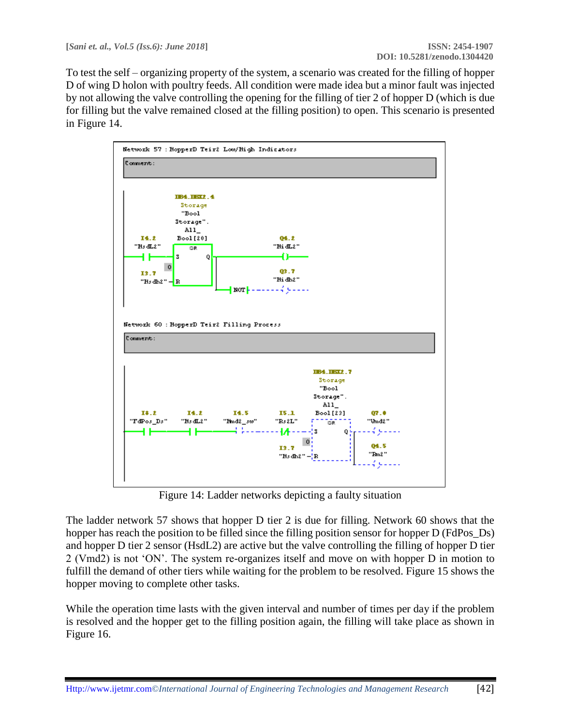To test the self – organizing property of the system, a scenario was created for the filling of hopper D of wing D holon with poultry feeds. All condition were made idea but a minor fault was injected by not allowing the valve controlling the opening for the filling of tier 2 of hopper D (which is due for filling but the valve remained closed at the filling position) to open. This scenario is presented in Figure 14.



Figure 14: Ladder networks depicting a faulty situation

The ladder network 57 shows that hopper D tier 2 is due for filling. Network 60 shows that the hopper has reach the position to be filled since the filling position sensor for hopper D (FdPos\_Ds) and hopper D tier 2 sensor (HsdL2) are active but the valve controlling the filling of hopper D tier 2 (Vmd2) is not 'ON'. The system re-organizes itself and move on with hopper D in motion to fulfill the demand of other tiers while waiting for the problem to be resolved. Figure 15 shows the hopper moving to complete other tasks.

While the operation time lasts with the given interval and number of times per day if the problem is resolved and the hopper get to the filling position again, the filling will take place as shown in Figure 16.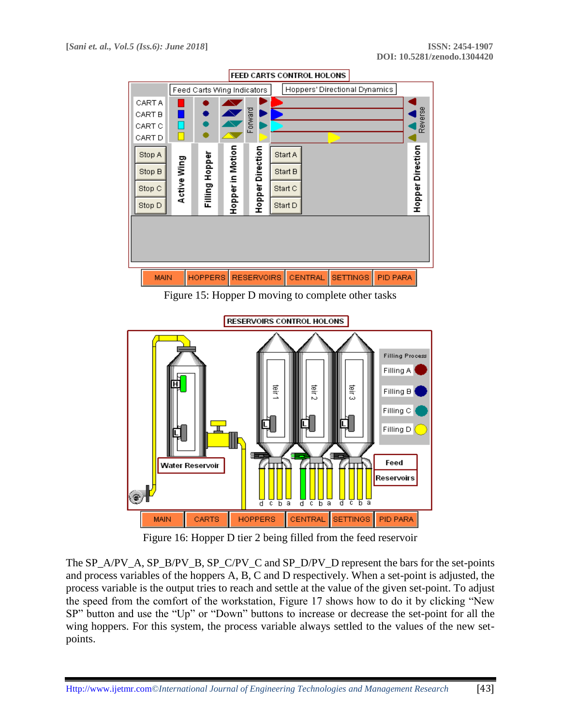

Figure 15: Hopper D moving to complete other tasks



Figure 16: Hopper D tier 2 being filled from the feed reservoir

The SP\_A/PV\_A, SP\_B/PV\_B, SP\_C/PV\_C and SP\_D/PV\_D represent the bars for the set-points and process variables of the hoppers A, B, C and D respectively. When a set-point is adjusted, the process variable is the output tries to reach and settle at the value of the given set-point. To adjust the speed from the comfort of the workstation, Figure 17 shows how to do it by clicking "New SP" button and use the "Up" or "Down" buttons to increase or decrease the set-point for all the wing hoppers. For this system, the process variable always settled to the values of the new setpoints.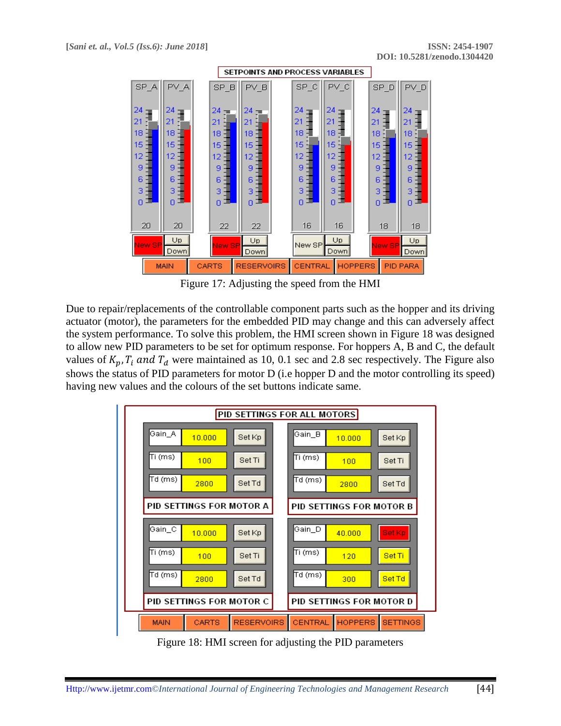

Figure 17: Adjusting the speed from the HMI

Due to repair/replacements of the controllable component parts such as the hopper and its driving actuator (motor), the parameters for the embedded PID may change and this can adversely affect the system performance. To solve this problem, the HMI screen shown in Figure 18 was designed to allow new PID parameters to be set for optimum response. For hoppers A, B and C, the default values of  $K_p$ ,  $T_i$  and  $T_d$  were maintained as 10, 0.1 sec and 2.8 sec respectively. The Figure also shows the status of PID parameters for motor D (i.e hopper D and the motor controlling its speed) having new values and the colours of the set buttons indicate same.



Figure 18: HMI screen for adjusting the PID parameters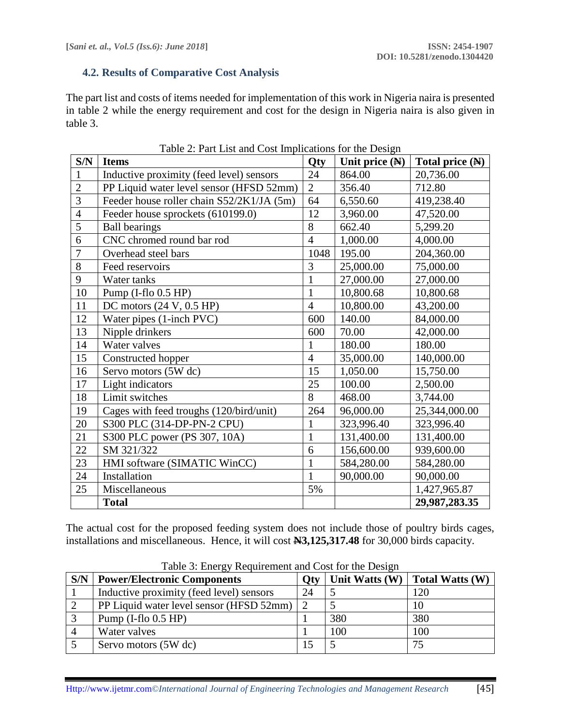### **4.2. Results of Comparative Cost Analysis**

The part list and costs of items needed for implementation of this work in Nigeria naira is presented in table 2 while the energy requirement and cost for the design in Nigeria naira is also given in table 3.

| S/N            | <b>Items</b>                              | Qty            | Unit price $(\mathbb{N})$ | Total price $(\mathbb{N})$ |
|----------------|-------------------------------------------|----------------|---------------------------|----------------------------|
| $\mathbf{1}$   | Inductive proximity (feed level) sensors  | 24             | 864.00                    | 20,736.00                  |
| $\overline{2}$ | PP Liquid water level sensor (HFSD 52mm)  | $\overline{2}$ | 356.40                    | 712.80                     |
| 3              | Feeder house roller chain S52/2K1/JA (5m) | 64             | 6,550.60                  | 419,238.40                 |
| 4              | Feeder house sprockets (610199.0)         | 12             | 3,960.00                  | 47,520.00                  |
| 5              | <b>Ball bearings</b>                      | 8              | 662.40                    | 5,299.20                   |
| 6              | CNC chromed round bar rod                 | $\overline{4}$ | 1,000.00                  | 4,000.00                   |
| 7              | Overhead steel bars                       | 1048           | 195.00                    | 204,360.00                 |
| 8              | Feed reservoirs                           | 3              | 25,000.00                 | 75,000.00                  |
| 9              | Water tanks                               | 1              | 27,000.00                 | 27,000.00                  |
| 10             | Pump (I-flo 0.5 HP)                       | 1              | 10,800.68                 | 10,800.68                  |
| 11             | DC motors $(24 V, 0.5 HP)$                | $\overline{4}$ | 10,800.00                 | 43,200.00                  |
| 12             | Water pipes (1-inch PVC)                  | 600            | 140.00                    | 84,000.00                  |
| 13             | Nipple drinkers                           | 600            | 70.00                     | 42,000.00                  |
| 14             | Water valves                              | 1              | 180.00                    | 180.00                     |
| 15             | Constructed hopper                        | $\overline{4}$ | 35,000.00                 | 140,000.00                 |
| 16             | Servo motors (5W dc)                      | 15             | 1,050.00                  | 15,750.00                  |
| 17             | Light indicators                          | 25             | 100.00                    | 2,500.00                   |
| 18             | Limit switches                            | 8              | 468.00                    | 3,744.00                   |
| 19             | Cages with feed troughs (120/bird/unit)   | 264            | 96,000.00                 | 25,344,000.00              |
| 20             | S300 PLC (314-DP-PN-2 CPU)                | 1              | 323,996.40                | 323,996.40                 |
| 21             | S300 PLC power (PS 307, 10A)              | $\mathbf{1}$   | 131,400.00                | 131,400.00                 |
| 22             | SM 321/322                                | 6              | 156,600.00                | 939,600.00                 |
| 23             | HMI software (SIMATIC WinCC)              | 1              | 584,280.00                | 584,280.00                 |
| 24             | Installation                              | $\mathbf{1}$   | 90,000.00                 | 90,000.00                  |
| 25             | Miscellaneous                             | 5%             |                           | 1,427,965.87               |
|                | <b>Total</b>                              |                |                           | 29,987,283.35              |

Table 2: Part List and Cost Implications for the Design

The actual cost for the proposed feeding system does not include those of poultry birds cages, installations and miscellaneous. Hence, it will cost **N3,125,317.48** for 30,000 birds capacity.

| S/N | <b>Power/Electronic Components</b>       | Otv          | Unit Watts (W) | <b>Total Watts (W)</b> |
|-----|------------------------------------------|--------------|----------------|------------------------|
|     | Inductive proximity (feed level) sensors | 24           |                | 120                    |
|     | PP Liquid water level sensor (HFSD 52mm) | <sup>2</sup> |                | 10                     |
|     | Pump $(I-flo 0.5 HP)$                    |              | 380            | 380                    |
|     | Water valves                             |              | 100            | 100                    |
|     | Servo motors (5W dc)                     | 15           |                | 75                     |

Table 3: Energy Requirement and Cost for the Design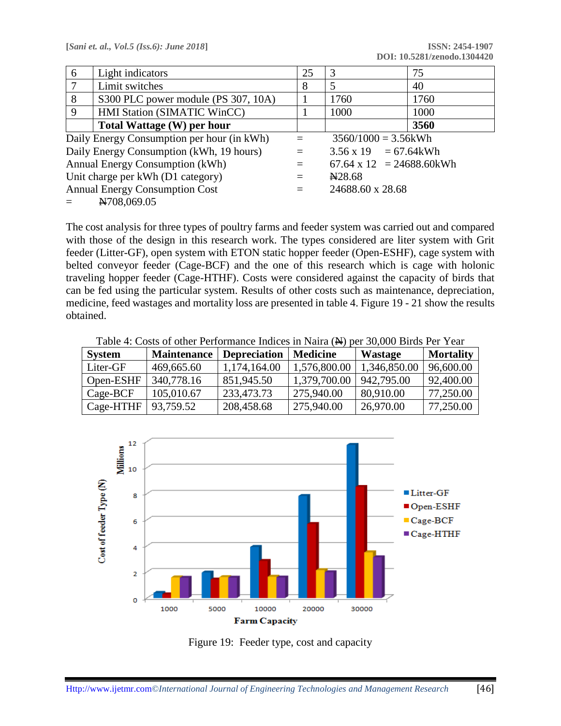| 6                                          | Light indicators                         | 25 | 3                                | 75   |  |
|--------------------------------------------|------------------------------------------|----|----------------------------------|------|--|
| 7                                          | Limit switches                           | 8  | 5                                | 40   |  |
| 8                                          | S300 PLC power module (PS 307, 10A)      |    | 1760                             | 1760 |  |
| $\mathbf Q$                                | <b>HMI Station (SIMATIC WinCC)</b>       |    | 1000                             | 1000 |  |
|                                            | Total Wattage (W) per hour               |    |                                  | 3560 |  |
| Daily Energy Consumption per hour (in kWh) |                                          |    | $3560/1000 = 3.56$ kWh           |      |  |
|                                            | Daily Energy Consumption (kWh, 19 hours) |    | $3.56 \times 19 = 67.64$ kWh     |      |  |
| Annual Energy Consumption (kWh)            |                                          |    | $67.64 \times 12 = 24688.60$ kWh |      |  |
|                                            | Unit charge per kWh (D1 category)        |    | N <sub>28.68</sub>               |      |  |
|                                            | <b>Annual Energy Consumption Cost</b>    |    | 24688.60 x 28.68                 |      |  |
| N708,069.05                                |                                          |    |                                  |      |  |

The cost analysis for three types of poultry farms and feeder system was carried out and compared with those of the design in this research work. The types considered are liter system with Grit feeder (Litter-GF), open system with ETON static hopper feeder (Open-ESHF), cage system with belted conveyor feeder (Cage-BCF) and the one of this research which is cage with holonic traveling hopper feeder (Cage-HTHF). Costs were considered against the capacity of birds that can be fed using the particular system. Results of other costs such as maintenance, depreciation, medicine, feed wastages and mortality loss are presented in table 4. Figure 19 - 21 show the results obtained.

| <b>System</b> | <b>Maintenance</b> | <b>Depreciation</b> | <b>Medicine</b> | <b>Wastage</b> | <b>Mortality</b> |
|---------------|--------------------|---------------------|-----------------|----------------|------------------|
| Liter-GF      | 469,665.60         | 1,174,164.00        | 1,576,800.00    | 1,346,850.00   | 96,600.00        |
| Open-ESHF     | 340,778.16         | 851,945.50          | 1,379,700.00    | 942,795.00     | 92,400.00        |
| $Cage-BCF$    | 105,010.67         | 233,473.73          | 275,940.00      | 80,910.00      | 77,250.00        |
| Cage-HTHF     | 93,759.52          | 208,458.68          | 275,940.00      | 26,970.00      | 77,250.00        |

Table 4: Costs of other Performance Indices in Naira (N) per 30,000 Birds Per Year



Figure 19: Feeder type, cost and capacity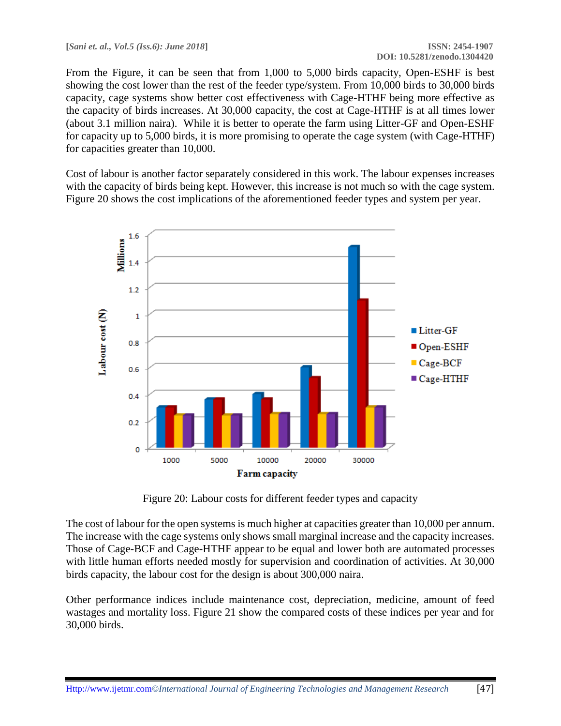From the Figure, it can be seen that from 1,000 to 5,000 birds capacity, Open-ESHF is best showing the cost lower than the rest of the feeder type/system. From 10,000 birds to 30,000 birds capacity, cage systems show better cost effectiveness with Cage-HTHF being more effective as the capacity of birds increases. At 30,000 capacity, the cost at Cage-HTHF is at all times lower (about 3.1 million naira). While it is better to operate the farm using Litter-GF and Open-ESHF for capacity up to 5,000 birds, it is more promising to operate the cage system (with Cage-HTHF) for capacities greater than 10,000.

Cost of labour is another factor separately considered in this work. The labour expenses increases with the capacity of birds being kept. However, this increase is not much so with the cage system. Figure 20 shows the cost implications of the aforementioned feeder types and system per year.



Figure 20: Labour costs for different feeder types and capacity

The cost of labour for the open systems is much higher at capacities greater than 10,000 per annum. The increase with the cage systems only shows small marginal increase and the capacity increases. Those of Cage-BCF and Cage-HTHF appear to be equal and lower both are automated processes with little human efforts needed mostly for supervision and coordination of activities. At 30,000 birds capacity, the labour cost for the design is about 300,000 naira.

Other performance indices include maintenance cost, depreciation, medicine, amount of feed wastages and mortality loss. Figure 21 show the compared costs of these indices per year and for 30,000 birds.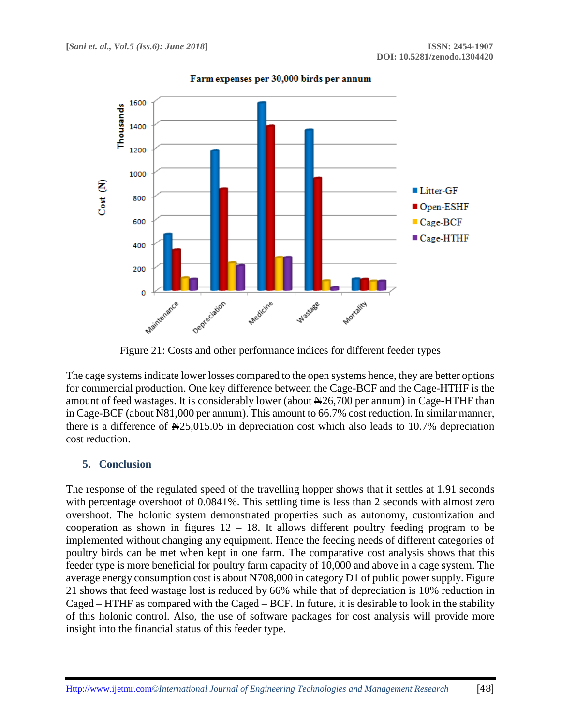

Farm expenses per 30,000 birds per annum

Figure 21: Costs and other performance indices for different feeder types

The cage systems indicate lower losses compared to the open systems hence, they are better options for commercial production. One key difference between the Cage-BCF and the Cage-HTHF is the amount of feed wastages. It is considerably lower (about  $\frac{1}{26}$ , 700 per annum) in Cage-HTHF than in Cage-BCF (about  $\text{\textsterling}81,000$  per annum). This amount to 66.7% cost reduction. In similar manner, there is a difference of  $\frac{125,015.05}{2}$  in depreciation cost which also leads to 10.7% depreciation cost reduction.

#### **5. Conclusion**

The response of the regulated speed of the travelling hopper shows that it settles at 1.91 seconds with percentage overshoot of 0.0841%. This settling time is less than 2 seconds with almost zero overshoot. The holonic system demonstrated properties such as autonomy, customization and cooperation as shown in figures  $12 - 18$ . It allows different poultry feeding program to be implemented without changing any equipment. Hence the feeding needs of different categories of poultry birds can be met when kept in one farm. The comparative cost analysis shows that this feeder type is more beneficial for poultry farm capacity of 10,000 and above in a cage system. The average energy consumption cost is about N708,000 in category D1 of public power supply. Figure 21 shows that feed wastage lost is reduced by 66% while that of depreciation is 10% reduction in Caged – HTHF as compared with the Caged – BCF. In future, it is desirable to look in the stability of this holonic control. Also, the use of software packages for cost analysis will provide more insight into the financial status of this feeder type.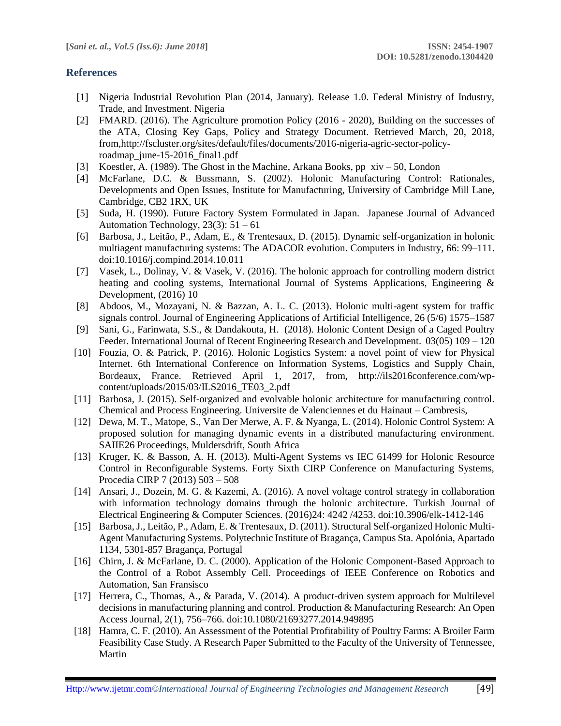### **References**

- [1] Nigeria Industrial Revolution Plan (2014, January). Release 1.0. Federal Ministry of Industry, Trade, and Investment. Nigeria
- [2] FMARD. (2016). The Agriculture promotion Policy (2016 2020), Building on the successes of the ATA, Closing Key Gaps, Policy and Strategy Document. Retrieved March, 20, 2018, from,http://fscluster.org/sites/default/files/documents/2016-nigeria-agric-sector-policyroadmap\_june-15-2016\_final1.pdf
- [3] Koestler, A. (1989). The Ghost in the Machine, Arkana Books, pp xiv 50, London
- [4] McFarlane, D.C. & Bussmann, S. (2002). Holonic Manufacturing Control: Rationales, Developments and Open Issues, Institute for Manufacturing, University of Cambridge Mill Lane, Cambridge, CB2 1RX, UK
- [5] Suda, H. (1990). Future Factory System Formulated in Japan. Japanese Journal of Advanced Automation Technology,  $23(3)$ :  $51 - 61$
- [6] Barbosa, J., Leitão, P., Adam, E., & Trentesaux, D. (2015). Dynamic self-organization in holonic multiagent manufacturing systems: The ADACOR evolution. Computers in Industry, 66: 99–111. doi:10.1016/j.compind.2014.10.011
- [7] Vasek, L., Dolinay, V. & Vasek, V. (2016). The holonic approach for controlling modern district heating and cooling systems, International Journal of Systems Applications, Engineering & Development, (2016) 10
- [8] Abdoos, M., Mozayani, N. & Bazzan, A. L. C. (2013). Holonic multi-agent system for traffic signals control. Journal of Engineering Applications of Artificial Intelligence, 26 (5/6) 1575–1587
- [9] Sani, G., Farinwata, S.S., & Dandakouta, H. (2018). Holonic Content Design of a Caged Poultry Feeder. International Journal of Recent Engineering Research and Development. 03(05) 109 – 120
- [10] Fouzia, O. & Patrick, P. (2016). Holonic Logistics System: a novel point of view for Physical Internet. 6th International Conference on Information Systems, Logistics and Supply Chain, Bordeaux, France. Retrieved April 1, 2017, from, http://ils2016conference.com/wpcontent/uploads/2015/03/ILS2016\_TE03\_2.pdf
- [11] Barbosa, J. (2015). Self-organized and evolvable holonic architecture for manufacturing control. Chemical and Process Engineering. Universite de Valenciennes et du Hainaut – Cambresis,
- [12] Dewa, M. T., Matope, S., Van Der Merwe, A. F. & Nyanga, L. (2014). Holonic Control System: A proposed solution for managing dynamic events in a distributed manufacturing environment. SAIIE26 Proceedings, Muldersdrift, South Africa
- [13] Kruger, K. & Basson, A. H. (2013). Multi-Agent Systems vs IEC 61499 for Holonic Resource Control in Reconfigurable Systems. Forty Sixth CIRP Conference on Manufacturing Systems, Procedia CIRP 7 (2013) 503 – 508
- [14] Ansari, J., Dozein, M. G. & Kazemi, A. (2016). A novel voltage control strategy in collaboration with information technology domains through the holonic architecture. Turkish Journal of Electrical Engineering & Computer Sciences. (2016)24: 4242 /4253. doi:10.3906/elk-1412-146
- [15] Barbosa, J., Leitão, P., Adam, E. & Trentesaux, D. (2011). Structural Self-organized Holonic Multi-Agent Manufacturing Systems. Polytechnic Institute of Bragança, Campus Sta. Apolónia, Apartado 1134, 5301-857 Bragança, Portugal
- [16] Chirn, J. & McFarlane, D. C. (2000). Application of the Holonic Component-Based Approach to the Control of a Robot Assembly Cell. Proceedings of IEEE Conference on Robotics and Automation, San Fransisco
- [17] Herrera, C., Thomas, A., & Parada, V. (2014). A product-driven system approach for Multilevel decisions in manufacturing planning and control. Production & Manufacturing Research: An Open Access Journal, 2(1), 756–766. doi:10.1080/21693277.2014.949895
- [18] Hamra, C. F. (2010). An Assessment of the Potential Profitability of Poultry Farms: A Broiler Farm Feasibility Case Study. A Research Paper Submitted to the Faculty of the University of Tennessee, Martin